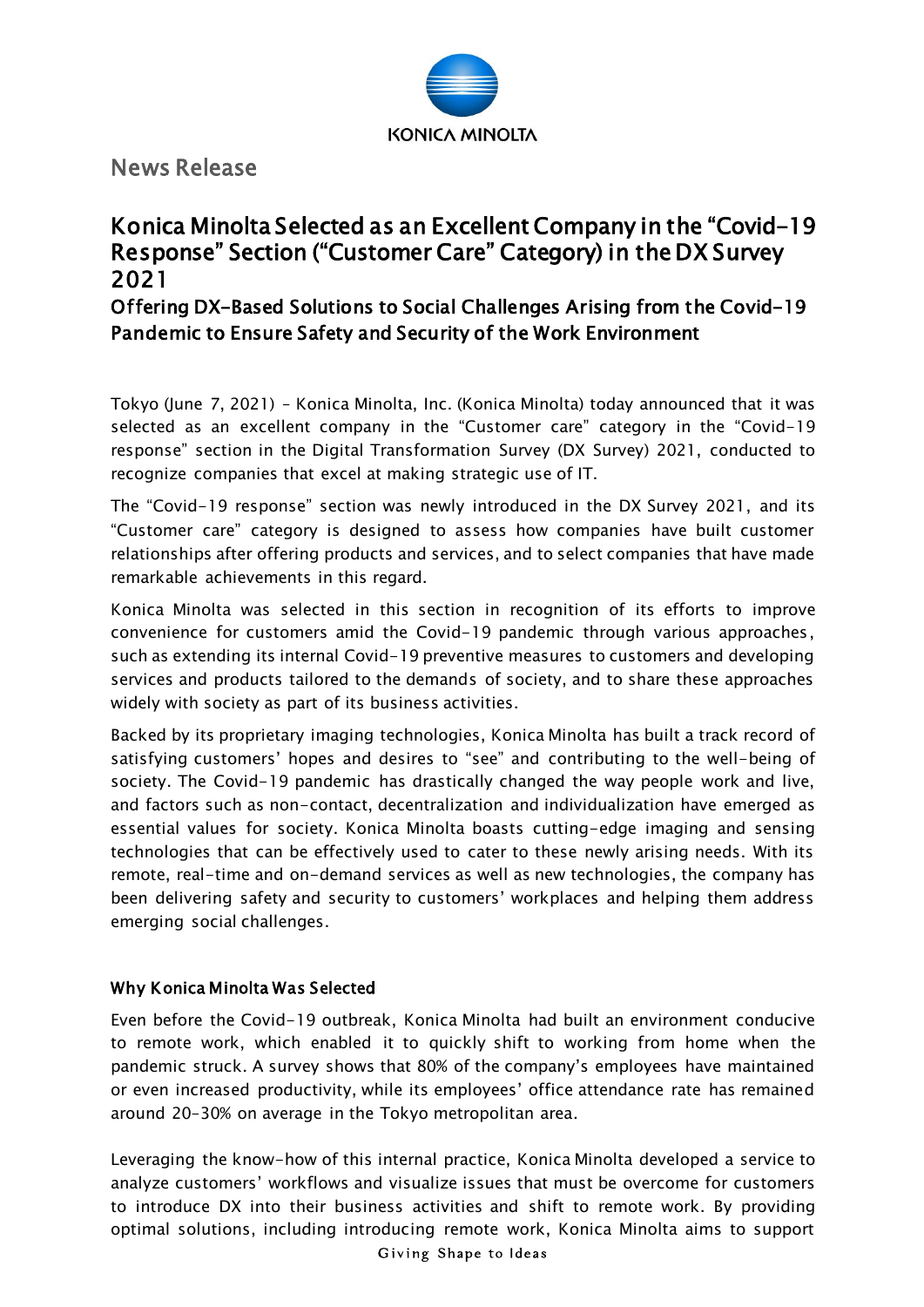

News Release

## Konica Minolta Selected as an Excellent Company in the "Covid-19 Response" Section ("Customer Care" Category) in the DX Survey 2021

Offering DX-Based Solutions to Social Challenges Arising from the Covid-19 Pandemic to Ensure Safety and Security of the Work Environment

Tokyo (June 7, 2021) – Konica Minolta, Inc. (Konica Minolta) today announced that it was selected as an excellent company in the "Customer care" category in the "Covid-19 response" section in the Digital Transformation Survey (DX Survey) 2021, conducted to recognize companies that excel at making strategic use of IT.

The "Covid-19 response" section was newly introduced in the DX Survey 2021, and its "Customer care" category is designed to assess how companies have built customer relationships after offering products and services, and to select companies that have made remarkable achievements in this regard.

Konica Minolta was selected in this section in recognition of its efforts to improve convenience for customers amid the Covid-19 pandemic through various approaches, such as extending its internal Covid-19 preventive measures to customers and developing services and products tailored to the demands of society, and to share these approaches widely with society as part of its business activities.

Backed by its proprietary imaging technologies, Konica Minolta has built a track record of satisfying customers' hopes and desires to "see" and contributing to the well-being of society. The Covid-19 pandemic has drastically changed the way people work and live, and factors such as non-contact, decentralization and individualization have emerged as essential values for society. Konica Minolta boasts cutting-edge imaging and sensing technologies that can be effectively used to cater to these newly arising needs. With its remote, real-time and on-demand services as well as new technologies, the company has been delivering safety and security to customers' workplaces and helping them address emerging social challenges.

## Why Konica Minolta Was Selected

Even before the Covid-19 outbreak, Konica Minolta had built an environment conducive to remote work, which enabled it to quickly shift to working from home when the pandemic struck. A survey shows that 80% of the company's employees have maintained or even increased productivity, while its employees' office attendance rate has remained around 20–30% on average in the Tokyo metropolitan area.

Leveraging the know-how of this internal practice, Konica Minolta developed a service to analyze customers' workflows and visualize issues that must be overcome for customers to introduce DX into their business activities and shift to remote work. By providing optimal solutions, including introducing remote work, Konica Minolta aims to support

Giving Shape to Ideas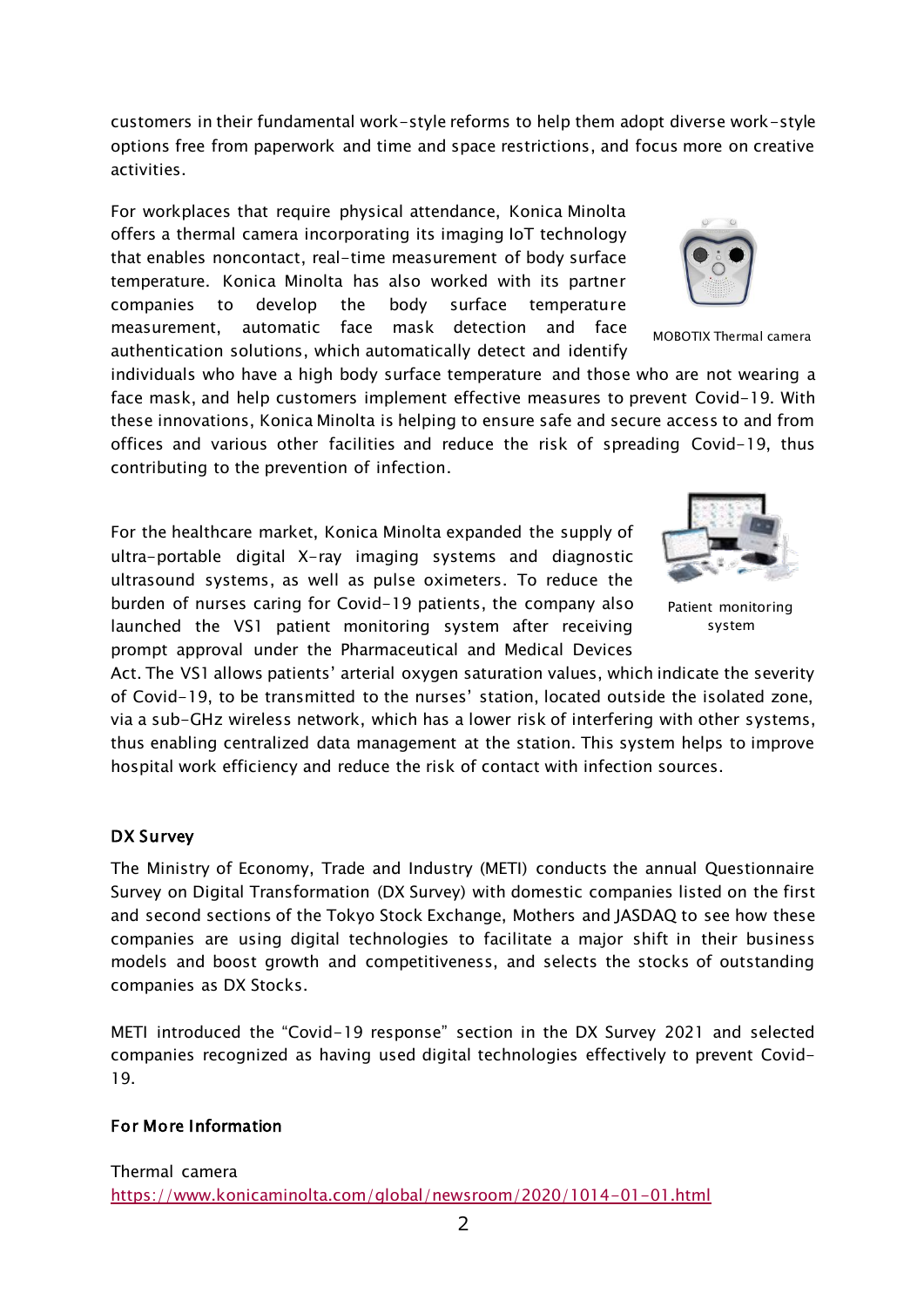customers in their fundamental work-style reforms to help them adopt diverse work-style options free from paperwork and time and space restrictions, and focus more on creative activities.

For workplaces that require physical attendance, Konica Minolta offers a thermal camera incorporating its imaging IoT technology that enables noncontact, real-time measurement of body surface temperature. Konica Minolta has also worked with its partner companies to develop the body surface temperature measurement, automatic face mask detection and face authentication solutions, which automatically detect and identify

individuals who have a high body surface temperature and those who are not wearing a face mask, and help customers implement effective measures to prevent Covid-19. With these innovations, Konica Minolta is helping to ensure safe and secure access to and from offices and various other facilities and reduce the risk of spreading Covid-19, thus contributing to the prevention of infection.

For the healthcare market, Konica Minolta expanded the supply of ultra-portable digital X-ray imaging systems and diagnostic ultrasound systems, as well as pulse oximeters. To reduce the burden of nurses caring for Covid-19 patients, the company also launched the VS1 patient monitoring system after receiving prompt approval under the Pharmaceutical and Medical Devices

Act. The VS1 allows patients' arterial oxygen saturation values, which indicate the severity of Covid-19, to be transmitted to the nurses' station, located outside the isolated zone, via a sub-GHz wireless network, which has a lower risk of interfering with other systems, thus enabling centralized data management at the station. This system helps to improve hospital work efficiency and reduce the risk of contact with infection sources.

## DX Survey

The Ministry of Economy, Trade and Industry (METI) conducts the annual Questionnaire Survey on Digital Transformation (DX Survey) with domestic companies listed on the first and second sections of the Tokyo Stock Exchange, Mothers and JASDAQ to see how these companies are using digital technologies to facilitate a major shift in their business models and boost growth and competitiveness, and selects the stocks of outstanding companies as DX Stocks.

METI introduced the "Covid-19 response" section in the DX Survey 2021 and selected companies recognized as having used digital technologies effectively to prevent Covid-19.

## For More Information



Patient monitoring system



MOBOTIX Thermal camera